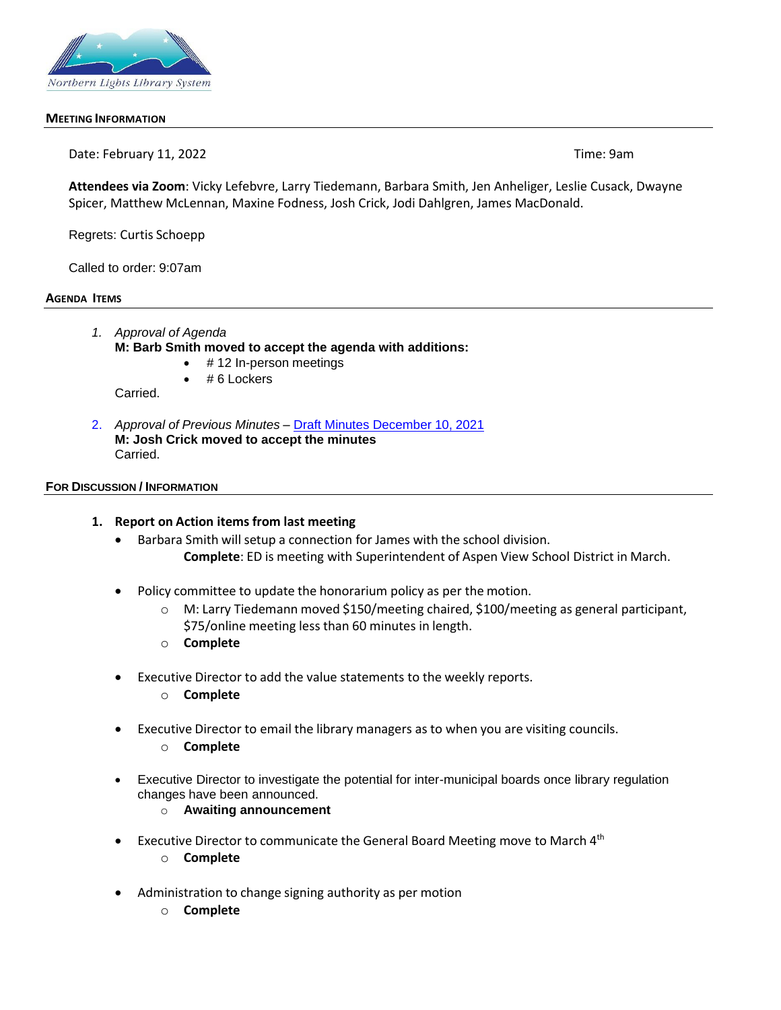

#### **MEETING INFORMATION**

Date: February 11, 2022 **Time: 9am** 

**Attendees via Zoom**: Vicky Lefebvre, Larry Tiedemann, Barbara Smith, Jen Anheliger, Leslie Cusack, Dwayne Spicer, Matthew McLennan, Maxine Fodness, Josh Crick, Jodi Dahlgren, James MacDonald.

Regrets: Curtis Schoepp

Called to order: 9:07am

#### **AGENDA ITEMS**

- *1. Approval of Agenda* **M: Barb Smith moved to accept the agenda with additions:**
	- # 12 In-person meetings
	- # 6 Lockers

Carried.

2. *Approval of Previous Minutes –* Draft Minutes December 10, 2021 **M: Josh Crick moved to accept the minutes** Carried.

#### **FOR DISCUSSION / INFORMATION**

#### **1. Report on Action items from last meeting**

- Barbara Smith will setup a connection for James with the school division. **Complete**: ED is meeting with Superintendent of Aspen View School District in March.
- Policy committee to update the honorarium policy as per the motion.
	- o M: Larry Tiedemann moved \$150/meeting chaired, \$100/meeting as general participant, \$75/online meeting less than 60 minutes in length.
	- o **Complete**
- Executive Director to add the value statements to the weekly reports.
	- o **Complete**
- Executive Director to email the library managers as to when you are visiting councils.
	- o **Complete**
- Executive Director to investigate the potential for inter-municipal boards once library regulation changes have been announced.
	- o **Awaiting announcement**
- Executive Director to communicate the General Board Meeting move to March 4<sup>th</sup>
	- o **Complete**
- Administration to change signing authority as per motion
	- o **Complete**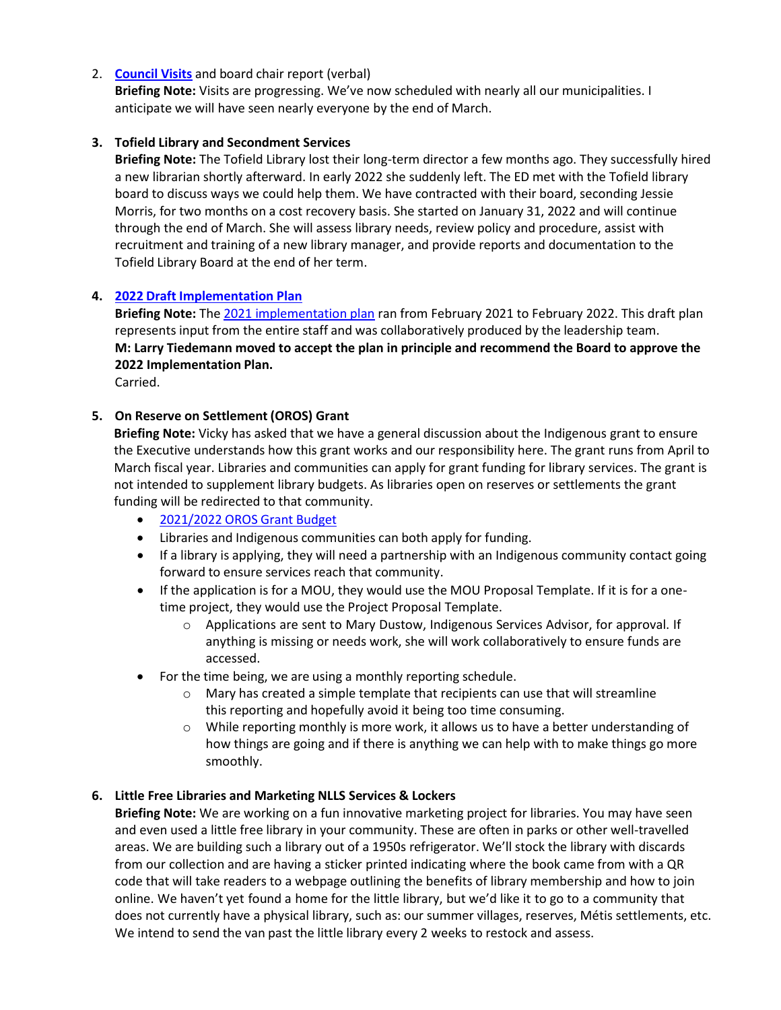## 2. **Council Visits** and board chair report (verbal)

**Briefing Note:** Visits are progressing. We've now scheduled with nearly all our municipalities. I anticipate we will have seen nearly everyone by the end of March.

## **3. Tofield Library and Secondment Services**

**Briefing Note:** The Tofield Library lost their long-term director a few months ago. They successfully hired a new librarian shortly afterward. In early 2022 she suddenly left. The ED met with the Tofield library board to discuss ways we could help them. We have contracted with their board, seconding Jessie Morris, for two months on a cost recovery basis. She started on January 31, 2022 and will continue through the end of March. She will assess library needs, review policy and procedure, assist with recruitment and training of a new library manager, and provide reports and documentation to the Tofield Library Board at the end of her term.

## **4. 2022 Draft Implementation Plan**

**Briefing Note:** The 2021 implementation plan ran from February 2021 to February 2022. This draft plan represents input from the entire staff and was collaboratively produced by the leadership team. **M: Larry Tiedemann moved to accept the plan in principle and recommend the Board to approve the 2022 Implementation Plan.**

Carried.

## **5. On Reserve on Settlement (OROS) Grant**

**Briefing Note:** Vicky has asked that we have a general discussion about the Indigenous grant to ensure the Executive understands how this grant works and our responsibility here. The grant runs from April to March fiscal year. Libraries and communities can apply for grant funding for library services. The grant is not intended to supplement library budgets. As libraries open on reserves or settlements the grant funding will be redirected to that community.

- [2021/2022](https://www.nlls.ab.ca/public/download/files/192504) OROS Grant Budget
- Libraries and Indigenous communities can both apply for funding.
- If a library is applying, they will need a partnership with an Indigenous community contact going forward to ensure services reach that community.
- If the application is for a MOU, they would use the MOU Proposal Template. If it is for a onetime project, they would use the Project Proposal Template.
	- o Applications are sent to Mary Dustow, Indigenous Services Advisor, for approval. If anything is missing or needs work, she will work collaboratively to ensure funds are accessed.
- For the time being, we are using a monthly reporting schedule.
	- o Mary has created a simple template that recipients can use that will streamline this reporting and hopefully avoid it being too time consuming.
	- $\circ$  While reporting monthly is more work, it allows us to have a better understanding of how things are going and if there is anything we can help with to make things go more smoothly.

### **6. Little Free Libraries and Marketing NLLS Services & Lockers**

**Briefing Note:** We are working on a fun innovative marketing project for libraries. You may have seen and even used a little free library in your community. These are often in parks or other well-travelled areas. We are building such a library out of a 1950s refrigerator. We'll stock the library with discards from our collection and are having a sticker printed indicating where the book came from with a QR code that will take readers to a webpage outlining the benefits of library membership and how to join online. We haven't yet found a home for the little library, but we'd like it to go to a community that does not currently have a physical library, such as: our summer villages, reserves, Métis settlements, etc. We intend to send the van past the little library every 2 weeks to restock and assess.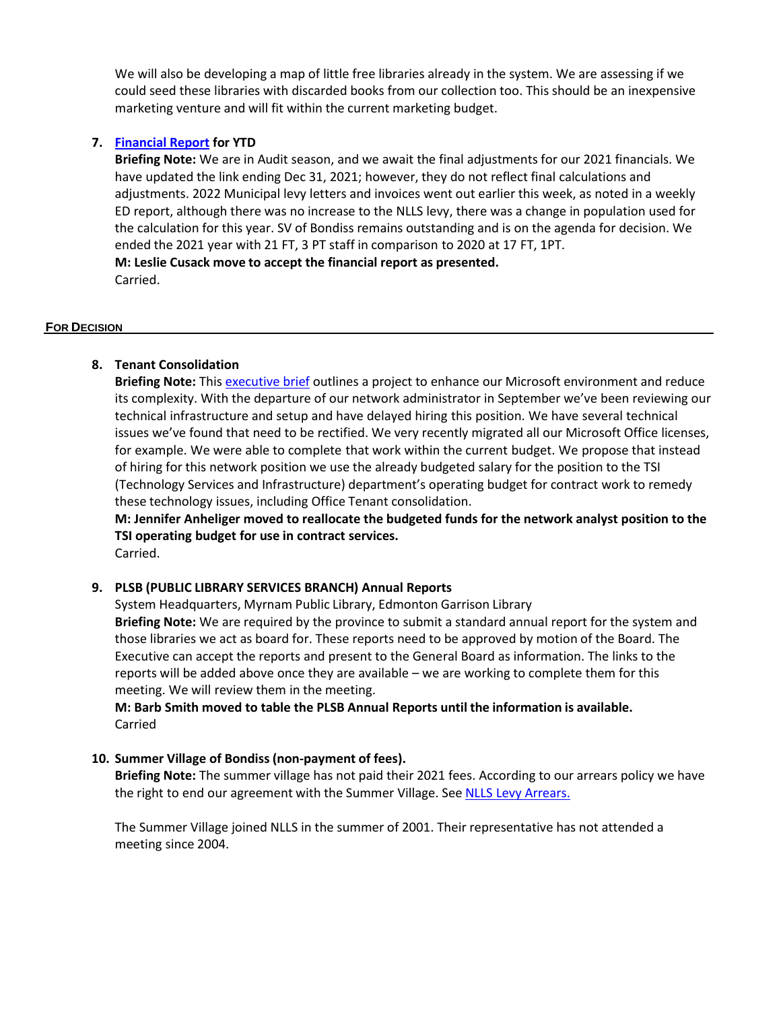We will also be developing a map of little free libraries already in the system. We are assessing if we could seed these libraries with discarded books from our collection too. This should be an inexpensive marketing venture and will fit within the current marketing budget.

## **7. Financial Report for YTD**

**Briefing Note:** We are in Audit season, and we await the final adjustments for our 2021 financials. We have updated the link ending Dec 31, 2021; however, they do not reflect final calculations and adjustments. 2022 Municipal levy letters and invoices went out earlier this week, as noted in a weekly ED report, although there was no increase to the NLLS levy, there was a change in population used for the calculation for this year. SV of Bondiss remains outstanding and is on the agenda for decision. We ended the 2021 year with 21 FT, 3 PT staff in comparison to 2020 at 17 FT, 1PT. **M: Leslie Cusack move to accept the financial report as presented.** Carried.

### **FOR DECISION**

# **8. Tenant Consolidation**

**Briefing Note:** This executive brief outlines a project to enhance our Microsoft environment and reduce its complexity. With the departure of our network administrator in September we've been reviewing our technical infrastructure and setup and have delayed hiring this position. We have several technical issues we've found that need to be rectified. We very recently migrated all our Microsoft Office licenses, for example. We were able to complete that work within the current budget. We propose that instead of hiring for this network position we use the already budgeted salary for the position to the TSI (Technology Services and Infrastructure) department's operating budget for contract work to remedy these technology issues, including Office Tenant consolidation.

**M: Jennifer Anheliger moved to reallocate the budgeted funds for the network analyst position to the TSI operating budget for use in contract services.**

Carried.

### **9. PLSB (PUBLIC LIBRARY SERVICES BRANCH) Annual Reports**

System Headquarters, Myrnam Public Library, Edmonton Garrison Library **Briefing Note:** We are required by the province to submit a standard annual report for the system and those libraries we act as board for. These reports need to be approved by motion of the Board. The Executive can accept the reports and present to the General Board as information. The links to the reports will be added above once they are available – we are working to complete them for this meeting. We will review them in the meeting.

**M: Barb Smith moved to table the PLSB Annual Reports until the information is available.** Carried

### **10. Summer Village of Bondiss (non-payment of fees).**

**Briefing Note:** The summer village has not paid their 2021 fees. According to our arrears policy we have the right to end our agreement with the Summer Village. See NLLS Levy [Arrears.](https://nlls.libanswers.com/policies/faq/205660)

The Summer Village joined NLLS in the summer of 2001. Their representative has not attended a meeting since 2004.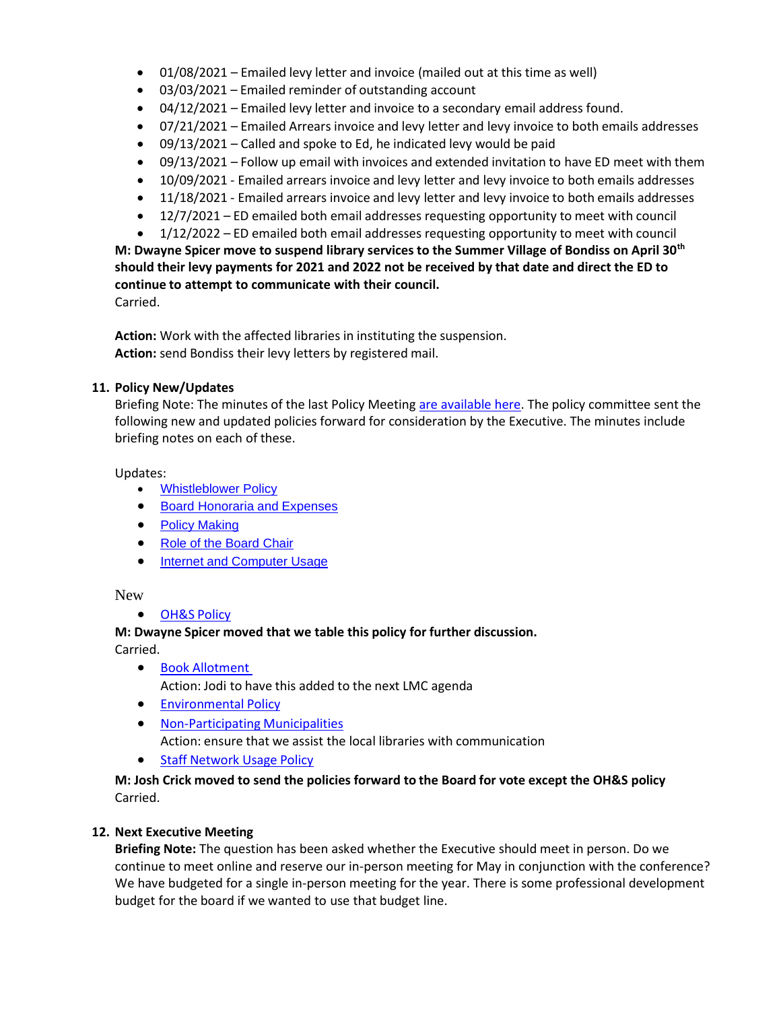- 01/08/2021 Emailed levy letter and invoice (mailed out at this time as well)
- 03/03/2021 Emailed reminder of outstanding account
- 04/12/2021 Emailed levy letter and invoice to a secondary email address found.
- 07/21/2021 Emailed Arrears invoice and levy letter and levy invoice to both emails addresses
- 09/13/2021 Called and spoke to Ed, he indicated levy would be paid
- 09/13/2021 Follow up email with invoices and extended invitation to have ED meet with them
- 10/09/2021 Emailed arrears invoice and levy letter and levy invoice to both emails addresses
- 11/18/2021 Emailed arrears invoice and levy letter and levy invoice to both emails addresses
- 12/7/2021 ED emailed both email addresses requesting opportunity to meet with council
- 1/12/2022 ED emailed both email addresses requesting opportunity to meet with council

**M: Dwayne Spicer move to suspend library services to the Summer Village of Bondiss on April 30th should their levy payments for 2021 and 2022 not be received by that date and direct the ED to continue to attempt to communicate with their council.**

Carried.

**Action:** Work with the affected libraries in instituting the suspension. **Action:** send Bondiss their levy letters by registered mail.

## **11. Policy New/Updates**

Briefing Note: The minutes of the last Policy Meeting are available here. The policy committee sent the following new and updated policies forward for consideration by the Executive. The minutes include briefing notes on each of these.

Updates:

- Whistleblower Policy
- Board Honoraria and Expenses
- Policy Making
- Role of the Board Chair
- Internet and Computer Usage

New

• OH&S Policy

### **M: Dwayne Spicer moved that we table this policy for further discussion.**

Carried.

- Book Allotment Action: Jodi to have this added to the next LMC agenda
- Environmental Policy
- Non-Participating Municipalities Action: ensure that we assist the local libraries with communication
- Staff Network Usage Policy

**M: Josh Crick moved to send the policies forward to the Board for vote except the OH&S policy** Carried.

### **12. Next Executive Meeting**

**Briefing Note:** The question has been asked whether the Executive should meet in person. Do we continue to meet online and reserve our in-person meeting for May in conjunction with the conference? We have budgeted for a single in-person meeting for the year. There is some professional development budget for the board if we wanted to use that budget line.